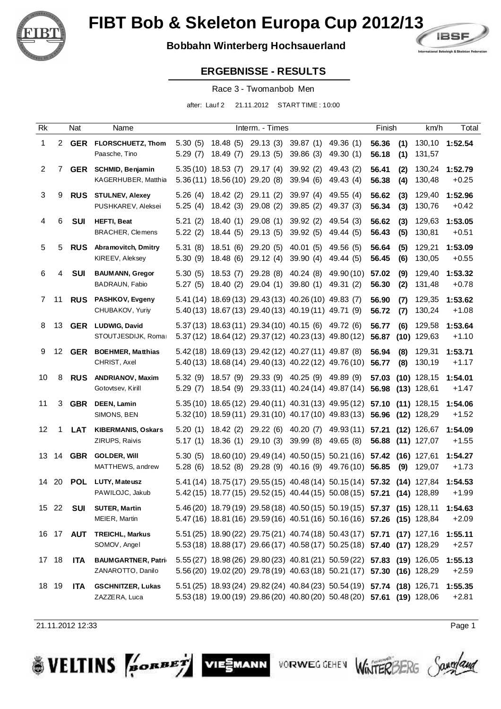

## **Bobbahn Winterberg Hochsauerland**



#### **ERGEBNISSE - RESULTS**

Race 3 - Twomanbob Men

after: Lauf 2 21.11.2012 START TIME : 10:00

| Rk             |                 | Nat              | Name                                            |                    |                                                        | Interm. - Times                                                                                                |                                  |                                                                                                                                                    | Finish                                 |             | km/h                           | Total              |
|----------------|-----------------|------------------|-------------------------------------------------|--------------------|--------------------------------------------------------|----------------------------------------------------------------------------------------------------------------|----------------------------------|----------------------------------------------------------------------------------------------------------------------------------------------------|----------------------------------------|-------------|--------------------------------|--------------------|
| 1              |                 |                  | 2 GER FLORSCHUETZ, Thom<br>Paasche, Tino        | 5.30(5)<br>5.29(7) | 18.49(7)                                               | 18.48 (5) 29.13 (3) 39.87 (1) 49.36 (1)<br>29.13(5)                                                            | 39.86(3)                         | 49.30 (1)                                                                                                                                          | 56.36<br>56.18                         | (1)<br>(1)  | 131,57                         | 130,10 1:52.54     |
| $\overline{2}$ | 7               | GER              | <b>SCHMID, Benjamin</b><br>KAGERHUBER, Matthia  |                    | $5.35(10)$ 18.53 (7)<br>5.36 (11) 18.56 (10) 29.20 (8) | 29.17(4)                                                                                                       | 39.92 (2)<br>39.94(6)            | 49.43 (2)<br>49.43 (4)                                                                                                                             | 56.41<br>56.38                         | (2)<br>(4)  | 130,24<br>130,48               | 1:52.79<br>$+0.25$ |
| 3              | 9               | <b>RUS</b>       | <b>STULNEV, Alexey</b><br>PUSHKAREV, Aleksei    | 5.26(4)<br>5.25(4) | 18.42(2)<br>18.42 (3)                                  | 29.11(2)<br>29.08(2)                                                                                           | 39.97(4)<br>39.85(2)             | 49.55 (4)<br>49.37 (3)                                                                                                                             | 56.62<br>56.34                         | (3)<br>(3)  | 129,40<br>130,76               | 1:52.96<br>$+0.42$ |
| 4              | 6               | SUI              | <b>HEFTI, Beat</b><br>BRACHER, Clemens          | 5.21(2)<br>5.22(2) | 18.40(1)<br>18.44(5)                                   | 29.08(1)<br>29.13 (5)                                                                                          | 39.92 (2)<br>39.92(5)            | 49.54 (3)<br>49.44 (5)                                                                                                                             | 56.62<br>56.43                         | (3)<br>(5)  | 129,63<br>130,81               | 1:53.05<br>$+0.51$ |
| $\,$ 5 $\,$    | 5               | <b>RUS</b>       | Abramovitch, Dmitry<br>KIREEV, Aleksey          | 5.31(8)<br>5.30(9) | 18.51(6)<br>18.48(6)                                   | 29.20 (5)<br>29.12(4)                                                                                          | 40.01(5)<br>39.90(4)             | 49.56 (5)<br>49.44 (5)                                                                                                                             | 56.64<br>56.45                         | (5)<br>(6)  | 129,21<br>130,05               | 1:53.09<br>$+0.55$ |
| 6              | 4               | <b>SUI</b>       | <b>BAUMANN, Gregor</b><br>BADRAUN, Fabio        | 5.30(5)<br>5.27(5) | 18.53(7)<br>18.40 (2)                                  | 29.28 (8)<br>29.04(1)                                                                                          | 40.24(8)<br>39.80(1)             | 49.90 (10)<br>49.31 (2)                                                                                                                            | 57.02<br>56.30                         | (9)<br>(2)  | 129,40<br>131,48               | 1:53.32<br>$+0.78$ |
| 7              | 11              | <b>RUS</b>       | <b>PASHKOV, Evgeny</b><br>CHUBAKOV, Yuriy       |                    |                                                        | 5.41 (14) 18.69 (13) 29.43 (13) 40.26 (10) 49.83 (7)<br>5.40 (13) 18.67 (13) 29.40 (13) 40.19 (11) 49.71 (9)   |                                  |                                                                                                                                                    | 56.90<br>56.72                         | (7)<br>(7)  | 129,35<br>130,24               | 1:53.62<br>$+1.08$ |
| 8              | 13              |                  | <b>GER</b> LUDWIG, David<br>STOUTJESDIJK, Romar |                    |                                                        | 5.37 (13) 18.63 (11) 29.34 (10) 40.15 (6) 49.72 (6)<br>5.37 (12) 18.64 (12) 29.37 (12) 40.23 (13) 49.80 (12)   |                                  |                                                                                                                                                    | 56.77<br>56.87                         | (6)<br>(10) | 129,58<br>129,63               | 1:53.64<br>$+1.10$ |
| 9              | 12 <sup>°</sup> |                  | <b>GER</b> BOEHMER, Matthias<br>CHRIST, Axel    |                    |                                                        | 5.42 (18) 18.69 (13) 29.42 (12) 40.27 (11) 49.87 (8)<br>5.40 (13) 18.68 (14) 29.40 (13) 40.22 (12) 49.76 (10)  |                                  |                                                                                                                                                    | 56.94<br>56.77                         | (8)<br>(8)  | 129,31<br>130,19               | 1:53.71<br>$+1.17$ |
| 10             | 8               | <b>RUS</b>       | <b>ANDRIANOV, Maxim</b><br>Gotovtsev, Kirill    | 5.32(9)<br>5.29(7) | 18.54 (9)                                              | 18.57 (9) 29.33 (9) 40.25 (9) 49.89 (9)                                                                        | 29.33 (11) 40.24 (14) 49.87 (14) |                                                                                                                                                    | 57.03<br>56.98                         |             | $(10)$ 128,15<br>$(13)$ 128,61 | 1:54.01<br>$+1.47$ |
| 11             | 3               | <b>GBR</b>       | <b>DEEN, Lamin</b><br>SIMONS, BEN               |                    |                                                        | 5.35 (10) 18.65 (12) 29.40 (11) 40.31 (13) 49.95 (12)<br>5.32 (10) 18.59 (11) 29.31 (10) 40.17 (10) 49.83 (13) |                                  |                                                                                                                                                    | 57.10<br>56.96 (12)                    |             | $(11)$ 128,15<br>128,29        | 1:54.06<br>$+1.52$ |
| 12             | 1               | <b>LAT</b>       | <b>KIBERMANIS, Oskars</b><br>ZIRUPS, Raivis     | 5.20(1)<br>5.17(1) | 18.42 (2) 29.22 (6)<br>18.36(1)                        | 29.10(3)                                                                                                       | 39.99 (8)                        | 40.20 (7) 49.93 (11)<br>49.65 (8)                                                                                                                  | 57.21 (12) 126,67<br>56.88 (11) 127,07 |             |                                | 1:54.09<br>$+1.55$ |
| 13             | 14              | GBR              | <b>GOLDER, Will</b><br>MATTHEWS, andrew         | 5.30(5)<br>5.28(6) |                                                        | 18.52 (8) 29.28 (9) 40.16 (9) 49.76 (10)                                                                       |                                  | 18.60 (10) 29.49 (14) 40.50 (15) 50.21 (16) 57.42 (16) 127,61                                                                                      | 56.85                                  | (9)         | 129,07                         | 1:54.27<br>$+1.73$ |
|                |                 | 14 20 <b>POL</b> | LUTY, Mateusz<br>PAWILOJC, Jakub                |                    |                                                        |                                                                                                                |                                  | 5.41 (14) 18.75 (17) 29.55 (15) 40.48 (14) 50.15 (14) 57.32 (14) 127,84<br>5.42 (15) 18.77 (15) 29.52 (15) 40.44 (15) 50.08 (15) 57.21 (14) 128,89 |                                        |             |                                | 1:54.53<br>$+1.99$ |
|                | 15 22           | SUI              | <b>SUTER, Martin</b><br>MEIER, Martin           |                    |                                                        |                                                                                                                |                                  | 5.46 (20) 18.79 (19) 29.58 (18) 40.50 (15) 50.19 (15) 57.37 (15) 128,11<br>5.47 (16) 18.81 (16) 29.59 (16) 40.51 (16) 50.16 (16) 57.26 (15) 128,84 |                                        |             |                                | 1:54.63<br>$+2.09$ |
|                |                 | 16 17 <b>AUT</b> | <b>TREICHL, Markus</b><br>SOMOV, Angel          |                    |                                                        |                                                                                                                |                                  | 5.51 (25) 18.90 (22) 29.75 (21) 40.74 (18) 50.43 (17) 57.71 (17) 127,16<br>5.53 (18) 18.88 (17) 29.66 (17) 40.58 (17) 50.25 (18) 57.40 (17) 128,29 |                                        |             |                                | 1:55.11<br>$+2.57$ |
| 17 18          |                 | <b>ITA</b>       | <b>BAUMGARTNER, Patrid</b><br>ZANAROTTO, Danilo |                    |                                                        |                                                                                                                |                                  | 5.55 (27) 18.98 (26) 29.80 (23) 40.81 (21) 50.59 (22) 57.83 (19) 126,05<br>5.56 (20) 19.02 (20) 29.78 (19) 40.63 (18) 50.21 (17) 57.30 (16) 128,29 |                                        |             |                                | 1:55.13<br>$+2.59$ |
| 18 19          |                 | ITA              | <b>GSCHNITZER, Lukas</b><br>ZAZZERA, Luca       |                    |                                                        |                                                                                                                |                                  | 5.51 (25) 18.93 (24) 29.82 (24) 40.84 (23) 50.54 (19) 57.74 (18) 126,71<br>5.53 (18) 19.00 (19) 29.86 (20) 40.80 (20) 50.48 (20) 57.61 (19) 128,06 |                                        |             |                                | 1:55.35<br>$+2.81$ |

VIESMANN

**VORWEG GEHEN** 

21.11.2012 12:33 Page 1

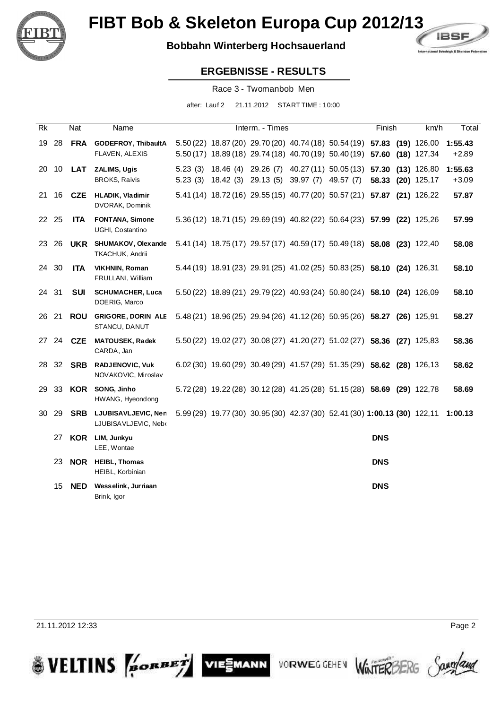

## **Bobbahn Winterberg Hochsauerland**



#### **ERGEBNISSE - RESULTS**

Race 3 - Twomanbob Men

after: Lauf 2 21.11.2012 START TIME : 10:00

| Rk |       | Nat        | Name                                            |                    |                     | Interm. - Times                         |                                                                                                                                                    | Finish     | km/h                               | Total              |
|----|-------|------------|-------------------------------------------------|--------------------|---------------------|-----------------------------------------|----------------------------------------------------------------------------------------------------------------------------------------------------|------------|------------------------------------|--------------------|
|    |       |            | 19 28 FRA GODEFROY, ThibaultA<br>FLAVEN, ALEXIS |                    |                     |                                         | 5.50 (22) 18.87 (20) 29.70 (20) 40.74 (18) 50.54 (19) 57.83 (19) 126,00<br>5.50 (17) 18.89 (18) 29.74 (18) 40.70 (19) 50.40 (19) 57.60 (18) 127,34 |            |                                    | 1:55.43<br>$+2.89$ |
| 20 | 10    | <b>LAT</b> | ZALIMS, Ugis<br><b>BROKS, Raivis</b>            | 5.23(3)<br>5.23(3) | 18.46 (4) 29.26 (7) | 18.42 (3) 29.13 (5) 39.97 (7) 49.57 (7) | 40.27 (11) 50.05 (13) 57.30                                                                                                                        |            | $(13)$ 126,80<br>58.33 (20) 125,17 | 1:55.63<br>$+3.09$ |
|    | 21 16 | <b>CZE</b> | <b>HLADIK, Vladimir</b><br>DVORAK, Dominik      |                    |                     |                                         | 5.41 (14) 18.72 (16) 29.55 (15) 40.77 (20) 50.57 (21) 57.87 (21) 126,22                                                                            |            |                                    | 57.87              |
|    | 22 25 | <b>ITA</b> | FONTANA, Simone<br>UGHI, Costantino             |                    |                     |                                         | 5.36 (12) 18.71 (15) 29.69 (19) 40.82 (22) 50.64 (23) 57.99 (22) 125,26                                                                            |            |                                    | 57.99              |
| 23 | -26   | <b>UKR</b> | SHUMAKOV, Olexande<br>TKACHUK, Andrii           |                    |                     |                                         | 5.41 (14) 18.75 (17) 29.57 (17) 40.59 (17) 50.49 (18) 58.08 (23) 122,40                                                                            |            |                                    | 58.08              |
|    | 24 30 | <b>ITA</b> | <b>VIKHNIN, Roman</b><br>FRULLANI, William      |                    |                     |                                         | 5.44 (19) 18.91 (23) 29.91 (25) 41.02 (25) 50.83 (25) 58.10 (24) 126,31                                                                            |            |                                    | 58.10              |
|    | 24 31 | <b>SUI</b> | <b>SCHUMACHER, Luca</b><br>DOERIG, Marco        |                    |                     |                                         | 5.50 (22) 18.89 (21) 29.79 (22) 40.93 (24) 50.80 (24) 58.10 (24) 126,09                                                                            |            |                                    | 58.10              |
|    | 26 21 | <b>ROU</b> | <b>GRIGORE, DORIN ALE</b><br>STANCU, DANUT      |                    |                     |                                         | 5.48 (21) 18.96 (25) 29.94 (26) 41.12 (26) 50.95 (26) 58.27 (26) 125,91                                                                            |            |                                    | 58.27              |
|    | 27 24 | <b>CZE</b> | <b>MATOUSEK, Radek</b><br>CARDA, Jan            |                    |                     |                                         | 5.50 (22) 19.02 (27) 30.08 (27) 41.20 (27) 51.02 (27) 58.36 (27) 125,83                                                                            |            |                                    | 58.36              |
| 28 | 32    | <b>SRB</b> | <b>RADJENOVIC, Vuk</b><br>NOV AKOVIC, Miroslav  |                    |                     |                                         | 6.02 (30) 19.60 (29) 30.49 (29) 41.57 (29) 51.35 (29) 58.62 (28) 126,13                                                                            |            |                                    | 58.62              |
| 29 | 33    |            | <b>KOR</b> SONG, Jinho<br>HWANG, Hyeondong      |                    |                     |                                         | 5.72 (28) 19.22 (28) 30.12 (28) 41.25 (28) 51.15 (28) 58.69 (29) 122,78                                                                            |            |                                    | 58.69              |
| 30 | 29    | <b>SRB</b> | LJUBISAVLJEVIC, Nen<br>LJUBISAVLJEVIC, Nebr     |                    |                     |                                         | 5.99 (29) 19.77 (30) 30.95 (30) 42.37 (30) 52.41 (30) 1:00.13 (30) 122,11 1:00.13                                                                  |            |                                    |                    |
|    | 27    | <b>KOR</b> | LIM, Junkyu<br>LEE, Wontae                      |                    |                     |                                         |                                                                                                                                                    | <b>DNS</b> |                                    |                    |
|    | 23    |            | <b>NOR</b> HEIBL, Thomas<br>HEIBL, Korbinian    |                    |                     |                                         |                                                                                                                                                    | <b>DNS</b> |                                    |                    |
|    | 15    | <b>NED</b> | Wesselink, Jurriaan<br>Brink, Igor              |                    |                     |                                         |                                                                                                                                                    | <b>DNS</b> |                                    |                    |

VIESMANN

**VORWEG GEHEN** 

21.11.2012 12:33 Page 2

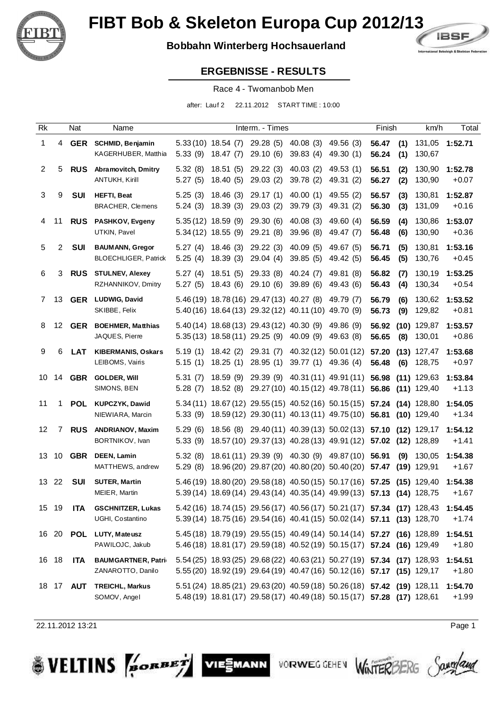

## **Bobbahn Winterberg Hochsauerland**



#### **ERGEBNISSE - RESULTS**

Race 4 - Twomanbob Men

after: Lauf 2 22.11.2012 START TIME : 10:00

| Rk             |                | Nat              | Name                                                  |                    |                                              | Interm. - Times                                                                                   |                                 |                                                                                                                                                    | Finish                       | km/h                           | Total              |
|----------------|----------------|------------------|-------------------------------------------------------|--------------------|----------------------------------------------|---------------------------------------------------------------------------------------------------|---------------------------------|----------------------------------------------------------------------------------------------------------------------------------------------------|------------------------------|--------------------------------|--------------------|
| 1              |                |                  | 4 GER SCHMID, Benjamin<br>KAGERHUBER, Matthia         | 5.33(9)            | $5.33(10)$ 18.54 (7)<br>18.47(7)             | 29.28(5)<br>29.10(6)                                                                              | 40.08 (3) 49.56 (3)<br>39.83(4) | 49.30 (1)                                                                                                                                          | 56.47<br>(1)<br>56.24<br>(1) | 130,67                         | 131,05 1:52.71     |
| $\overline{2}$ | 5              |                  | <b>RUS</b> Abramovitch, Dmitry<br>ANTUKH, Kirill      | 5.32(8)<br>5.27(5) | 18.51(5)<br>18.40(5)                         | 29.22(3)<br>29.03(2)                                                                              | 40.03(2)<br>39.78 (2)           | 49.53 (1)<br>49.31 (2)                                                                                                                             | 56.51<br>(2)<br>(2)<br>56.27 | 130,90<br>130,90               | 1:52.78<br>$+0.07$ |
| 3              | 9              | SUI              | <b>HEFTI, Beat</b><br>BRACHER, Clemens                | 5.25(3)<br>5.24(3) | 18.46(3)<br>18.39(3)                         | 29.17(1)<br>29.03(2)                                                                              | 40.00(1)<br>39.79 (3)           | 49.55 (2)<br>49.31 (2)                                                                                                                             | 56.57<br>(3)<br>56.30<br>(3) | 130,81<br>131,09               | 1:52.87<br>$+0.16$ |
| 4              | 11             |                  | <b>RUS</b> PASHKOV, Evgeny<br>UTKIN, Pavel            |                    | $5.35(12)$ 18.59 (9)<br>$5.34(12)$ 18.55 (9) | 29.30(6)<br>29.21 (8)                                                                             | 40.08(3)<br>39.96 (8)           | 49.60 (4)<br>49.47 (7)                                                                                                                             | 56.59<br>(4)<br>(6)<br>56.48 | 130,86<br>130,90               | 1:53.07<br>$+0.36$ |
| 5              | 2              | SUI              | <b>BAUMANN, Gregor</b><br><b>BLOECHLIGER, Patrick</b> | 5.27(4)<br>5.25(4) | 18.46(3)<br>18.39(3)                         | 29.22 (3)<br>29.04(4)                                                                             | 40.09(5)<br>39.85(5)            | 49.67 (5)<br>49.42 (5)                                                                                                                             | 56.71<br>(5)<br>56.45<br>(5) | 130,81<br>130,76               | 1:53.16<br>$+0.45$ |
| 6              | 3              |                  | <b>RUS</b> STULNEV, Alexey<br>RZHANNIKOV, Dmitry      | 5.27(4)<br>5.27(5) | 18.51(5)<br>18.43(6)                         | 29.33 (8)<br>29.10 (6)                                                                            | 40.24(7)<br>39.89(6)            | 49.81 (8)<br>49.43 (6)                                                                                                                             | 56.82<br>(7)<br>56.43<br>(4) | 130,19<br>130,34               | 1:53.25<br>$+0.54$ |
| 7              | 13.            |                  | <b>GER</b> LUDWIG, David<br>SKIBBE, Felix             |                    |                                              | 5.46 (19) 18.78 (16) 29.47 (13) 40.27 (8)<br>5.40 (16) 18.64 (13) 29.32 (12) 40.11 (10) 49.70 (9) |                                 | 49.79 (7)                                                                                                                                          | 56.79<br>(6)<br>(9)<br>56.73 | 130,62<br>129,82               | 1:53.52<br>$+0.81$ |
| 8              |                |                  | 12 GER BOEHMER, Matthias<br>JAQUES, Pierre            |                    | $5.35(13)$ 18.58 $(11)$ 29.25 $(9)$          | 5.40 (14) 18.68 (13) 29.43 (12) 40.30 (9)                                                         | 40.09 (9)                       | 49.86 (9)<br>49.63 (8)                                                                                                                             | 56.92<br>(8)<br>56.65        | $(10)$ 129,87<br>130,01        | 1:53.57<br>$+0.86$ |
| 9              | 6              | <b>LAT</b>       | <b>KIBERMANIS, Oskars</b><br>LEIBOMS, Vairis          | 5.19(1)<br>5.15(1) | 18.42 (2)<br>18.25(1)                        | 29.31(7)<br>28.95(1)                                                                              | 39.77(1)                        | 40.32 (12) 50.01 (12)<br>49.36 (4)                                                                                                                 | 57.20<br>56.48<br>(6)        | $(13)$ 127,47<br>128,75        | 1:53.68<br>$+0.97$ |
| 10             |                | 14 <b>GBR</b>    | <b>GOLDER, Will</b><br>SIMONS, BEN                    | 5.31(7)<br>5.28(7) | 18.59(9)                                     |                                                                                                   |                                 | 29.39 (9) 40.31 (11) 49.91 (11)<br>18.52 (8) 29.27 (10) 40.15 (12) 49.78 (11)                                                                      | 56.98<br>56.86               | $(11)$ 129,63<br>$(11)$ 129,40 | 1:53.84<br>$+1.13$ |
| 11             |                | 1 POL            | KUPCZYK, Dawid<br>NIEWIARA, Marcin                    | 5.33(9)            |                                              |                                                                                                   |                                 | 5.34 (11) 18.67 (12) 29.55 (15) 40.52 (16) 50.15 (15)<br>18.59 (12) 29.30 (11) 40.13 (11) 49.75 (10)                                               | 57.24<br>56.81               | $(14)$ 128,80<br>$(10)$ 129,40 | 1:54.05<br>$+1.34$ |
| 12             | $\overline{7}$ | <b>RUS</b>       | <b>ANDRIANOV, Maxim</b><br>BORTNIKOV, Ivan            | 5.29(6)<br>5.33(9) |                                              |                                                                                                   |                                 | 18.56 (8) 29.40 (11) 40.39 (13) 50.02 (13) 57.10<br>18.57 (10) 29.37 (13) 40.28 (13) 49.91 (12)                                                    | 57.02 (12) 128,89            | $(12)$ 129,17                  | 1:54.12<br>$+1.41$ |
| 13             | 10             | GBR              | <b>DEEN, Lamin</b><br>MATTHEWS, andrew                | 5.32(8)<br>5.29(8) |                                              |                                                                                                   |                                 | 18.61 (11) 29.39 (9) 40.30 (9) 49.87 (10) 56.91<br>18.96 (20) 29.87 (20) 40.80 (20) 50.40 (20)                                                     | (9)<br>57.47                 | 130,05<br>$(19)$ 129,91        | 1:54.38<br>$+1.67$ |
| 13 22          |                | <b>SUI</b>       | <b>SUTER, Martin</b><br>MEIER, Martin                 |                    |                                              |                                                                                                   |                                 | 5.46 (19) 18.80 (20) 29.58 (18) 40.50 (15) 50.17 (16) 57.25 (15) 129,40<br>5.39 (14) 18.69 (14) 29.43 (14) 40.35 (14) 49.99 (13) 57.13 (14) 128,75 |                              |                                | 1:54.38<br>$+1.67$ |
| 15 19          |                | <b>ITA</b>       | <b>GSCHNITZER, Lukas</b><br>UGHI, Costantino          |                    |                                              |                                                                                                   |                                 | 5.42 (16) 18.74 (15) 29.56 (17) 40.56 (17) 50.21 (17) 57.34 (17) 128,43<br>5.39 (14) 18.75 (16) 29.54 (16) 40.41 (15) 50.02 (14) 57.11 (13) 128,70 |                              |                                | 1:54.45<br>$+1.74$ |
|                |                |                  | 16 20 POL LUTY, Mateusz<br>PAWILOJC, Jakub            |                    |                                              |                                                                                                   |                                 | 5.45 (18) 18.79 (19) 29.55 (15) 40.49 (14) 50.14 (14) 57.27 (16) 128,89<br>5.46 (18) 18.81 (17) 29.59 (18) 40.52 (19) 50.15 (17) 57.24 (16) 129,49 |                              |                                | 1:54.51<br>$+1.80$ |
| 16 18          |                | <b>ITA</b>       | <b>BAUMGARTNER, Patrid</b><br>ZANAROTTO, Danilo       |                    |                                              |                                                                                                   |                                 | 5.54 (25) 18.93 (25) 29.68 (22) 40.63 (21) 50.27 (19) 57.34 (17) 128,93<br>5.55 (20) 18.92 (19) 29.64 (19) 40.47 (16) 50.12 (16) 57.17 (15) 129,17 |                              |                                | 1:54.51<br>$+1.80$ |
|                |                | 18 17 <b>AUT</b> | <b>TREICHL, Markus</b><br>SOMOV, Angel                |                    |                                              |                                                                                                   |                                 | 5.51 (24) 18.85 (21) 29.63 (20) 40.59 (18) 50.26 (18) 57.42 (19) 128,11<br>5.48 (19) 18.81 (17) 29.58 (17) 40.49 (18) 50.15 (17) 57.28 (17) 128,61 |                              |                                | 1:54.70<br>$+1.99$ |

VIESMANN

22.11.2012 13:21 Page 1

**SVELTINS** 

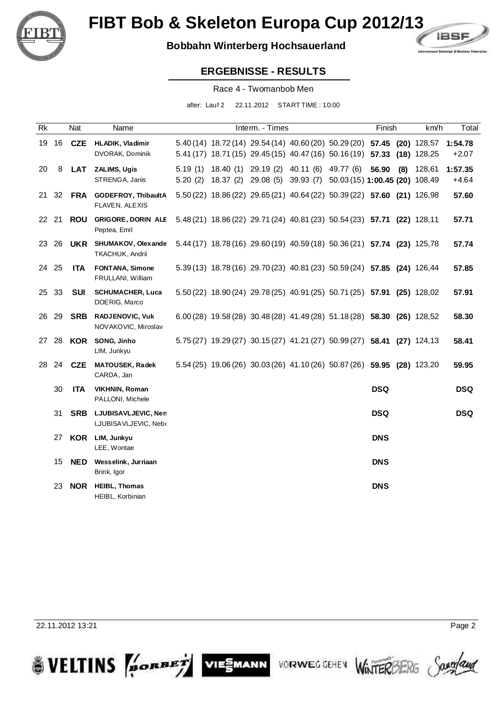

### **Bobbahn Winterberg Hochsauerland**



#### **ERGEBNISSE - RESULTS**

Race 4 - Twomanbob Men

after: Lauf 2 22.11.2012 START TIME : 10:00

| Rk    |       | Nat        | Name                                                    |                    | Interm. - Times                         |                                                                                                                                                    | Finish     |     | km/h   | Total              |
|-------|-------|------------|---------------------------------------------------------|--------------------|-----------------------------------------|----------------------------------------------------------------------------------------------------------------------------------------------------|------------|-----|--------|--------------------|
|       | 19 16 | <b>CZE</b> | <b>HLADIK, Vladimir</b><br>DVORAK, Dominik              |                    |                                         | 5.40 (14) 18.72 (14) 29.54 (14) 40.60 (20) 50.29 (20) 57.45 (20) 128,57<br>5.41 (17) 18.71 (15) 29.45 (15) 40.47 (16) 50.16 (19) 57.33 (18) 128,25 |            |     |        | 1:54.78<br>$+2.07$ |
| 20    | 8     | <b>LAT</b> | <b>ZALIMS, Ugis</b><br>STRENGA, Janis                   | 5.19(1)<br>5.20(2) | 18.40 (1) 29.19 (2) 40.11 (6) 49.77 (6) | 18.37 (2) 29.08 (5) 39.93 (7) 50.03 (15) 1:00.45 (20) 108,49                                                                                       | 56.90      | (8) | 128,61 | 1:57.35<br>$+4.64$ |
|       |       | 21 32 FRA  | <b>GODEFROY, ThibaultA</b><br>FLAVEN, ALEXIS            |                    |                                         | 5.50 (22) 18.86 (22) 29.65 (21) 40.64 (22) 50.39 (22) 57.60 (21) 126,98                                                                            |            |     |        | 57.60              |
| 22 21 |       | <b>ROU</b> | <b>GRIGORE, DORIN ALE</b><br>Peptea, Emil               |                    |                                         | 5.48 (21) 18.86 (22) 29.71 (24) 40.81 (23) 50.54 (23) 57.71 (22) 128,11                                                                            |            |     |        | 57.71              |
| 23    | -26   |            | <b>UKR</b> SHUMAKOV, Olexande<br><b>TKACHUK, Andrii</b> |                    |                                         | 5.44 (17) 18.78 (16) 29.60 (19) 40.59 (18) 50.36 (21) 57.74 (23) 125,78                                                                            |            |     |        | 57.74              |
| 24 25 |       | ITA.       | <b>FONTANA, Simone</b><br>FRULLANI, William             |                    |                                         | 5.39 (13) 18.78 (16) 29.70 (23) 40.81 (23) 50.59 (24) 57.85 (24) 126,44                                                                            |            |     |        | 57.85              |
| 25 33 |       | <b>SUI</b> | <b>SCHUMACHER, Luca</b><br>DOERIG, Marco                |                    |                                         | 5.50 (22) 18.90 (24) 29.78 (25) 40.91 (25) 50.71 (25) 57.91 (25) 128,02                                                                            |            |     |        | 57.91              |
| 26 29 |       | <b>SRB</b> | <b>RADJENOVIC, Vuk</b><br>NOV AKOVIC, Miroslav          |                    |                                         | 6.00 (28) 19.58 (28) 30.48 (28) 41.49 (28) 51.18 (28) 58.30 (26) 128,52                                                                            |            |     |        | 58.30              |
| 27 28 |       | <b>KOR</b> | SONG, Jinho<br>LIM, Junkyu                              |                    |                                         | 5.75 (27) 19.29 (27) 30.15 (27) 41.21 (27) 50.99 (27) 58.41 (27) 124,13                                                                            |            |     |        | 58.41              |
| 28    | 24    | <b>CZE</b> | <b>MATOUSEK, Radek</b><br>CARDA, Jan                    |                    |                                         | 5.54 (25) 19.06 (26) 30.03 (26) 41.10 (26) 50.87 (26) 59.95 (28) 123,20                                                                            |            |     |        | 59.95              |
|       | 30    | <b>ITA</b> | <b>VIKHNIN, Roman</b><br>PALLONI, Michele               |                    |                                         |                                                                                                                                                    | <b>DSQ</b> |     |        | <b>DSQ</b>         |
|       | 31    |            | SRB LJUBISAVLJEVIC, Nen<br>LJUBISAVLJEVIC, Nebr         |                    |                                         |                                                                                                                                                    | <b>DSQ</b> |     |        | <b>DSQ</b>         |
|       | 27    | <b>KOR</b> | LIM, Junkyu<br>LEE, Wontae                              |                    |                                         |                                                                                                                                                    | <b>DNS</b> |     |        |                    |
|       | 15    | <b>NED</b> | Wesselink, Jurriaan<br>Brink, Igor                      |                    |                                         |                                                                                                                                                    | <b>DNS</b> |     |        |                    |
|       | 23    | <b>NOR</b> | <b>HEIBL, Thomas</b><br>HEIBL, Korbinian                |                    |                                         |                                                                                                                                                    | <b>DNS</b> |     |        |                    |

VIESMANN

VORWEG GEHEN

22.11.2012 13:21 Page 2

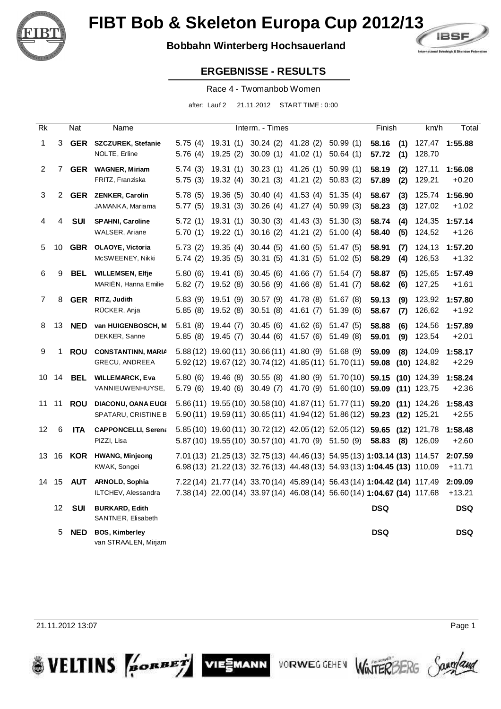

## **Bobbahn Winterberg Hochsauerland**



#### **ERGEBNISSE - RESULTS**

Race 4 - Twomanbob Women

after: Lauf 2 21.11.2012 START TIME : 0:00

| Rk             |    | Nat        | Name                                               |                    |                                                                                                                | Interm. - Times                 |                                                                  |                      | Finish                                                                                                                                                 | km/h                           | Total               |
|----------------|----|------------|----------------------------------------------------|--------------------|----------------------------------------------------------------------------------------------------------------|---------------------------------|------------------------------------------------------------------|----------------------|--------------------------------------------------------------------------------------------------------------------------------------------------------|--------------------------------|---------------------|
| 1              | 3  | GER        | <b>SZCZUREK, Stefanie</b><br>NOLTE, Erline         | 5.75(4)<br>5.76(4) | 19.31(1)<br>19.25(2)                                                                                           | 30.24 (2) 41.28 (2)<br>30.09(1) | 41.02(1)                                                         | 50.99(1)<br>50.64(1) | 58.16<br>(1)<br>57.72<br>(1)                                                                                                                           | 127,47<br>128,70               | 1:55.88             |
| $\overline{2}$ | 7  |            | GER WAGNER, Miriam<br>FRITZ, Franziska             | 5.74(3)<br>5.75(3) | 19.31(1)<br>19.32(4)                                                                                           | 30.23(1)<br>30.21(3)            | 41.26(1)<br>41.21(2)                                             | 50.99(1)<br>50.83(2) | 58.19<br>(2)<br>57.89<br>(2)                                                                                                                           | 127,11<br>129,21               | 1:56.08<br>$+0.20$  |
| 3              | 2  |            | <b>GER ZENKER, Carolin</b><br>JAMANKA, Mariama     | 5.78(5)<br>5.77(5) | 19.36(5)<br>19.31(3)                                                                                           | 30.40(4)<br>30.26(4)            | 41.53(4)<br>41.27(4)                                             | 51.35(4)<br>50.99(3) | 58.67<br>(3)<br>58.23<br>(3)                                                                                                                           | 125,74<br>127,02               | 1:56.90<br>$+1.02$  |
| 4              | 4  | <b>SUI</b> | <b>SPAHNI, Caroline</b><br>WALSER, Ariane          | 5.72(1)<br>5.70(1) | 19.31(1)<br>19.22(1)                                                                                           | 30.30(3)<br>30.16(2)            | 41.43(3)<br>41.21(2)                                             | 51.30(3)<br>51.00(4) | 58.74<br>(4)<br>58.40<br>(5)                                                                                                                           | 124,35<br>124,52               | 1:57.14<br>$+1.26$  |
| 5              | 10 | GBR        | <b>OLAOYE, Victoria</b><br>McSWEENEY, Nikki        | 5.73(2)<br>5.74(2) | 19.35(4)<br>19.35(5)                                                                                           | 30.44(5)<br>30.31(5)            | 41.60(5)<br>41.31(5)                                             | 51.47(5)<br>51.02(5) | 58.91<br>(7)<br>58.29<br>(4)                                                                                                                           | 124,13<br>126,53               | 1:57.20<br>$+1.32$  |
| 6              | 9  | <b>BEL</b> | <b>WILLEMSEN, Elfje</b><br>MARIEN, Hanna Emilie    | 5.80(6)<br>5.82(7) | 19.41(6)<br>19.52(8)                                                                                           | 30.45(6)<br>30.56(9)            | 41.66(7)<br>41.66 (8)                                            | 51.54(7)<br>51.41(7) | 58.87<br>(5)<br>58.62<br>(6)                                                                                                                           | 125,65<br>127,25               | 1:57.49<br>+1.61    |
| 7              | 8  | GER        | RITZ, Judith<br>RÜCKER, Anja                       | 5.83(9)<br>5.85(8) | 19.51(9)<br>19.52 (8)                                                                                          | 30.57(9)<br>30.51(8)            | 41.78 (8)<br>41.61(7)                                            | 51.67(8)<br>51.39(6) | 59.13<br>(9)<br>58.67<br>(7)                                                                                                                           | 123,92<br>126,62               | 1:57.80<br>$+1.92$  |
| 8              | 13 | <b>NED</b> | van HUIGENBOSCH, M<br>DEKKER, Sanne                | 5.81(8)<br>5.85(8) | 19.44(7)<br>19.45(7)                                                                                           | 30.45(6)<br>30.44(6)            | 41.62(6)<br>41.57(6)                                             | 51.47(5)<br>51.49(8) | 58.88<br>(6)<br>59.01<br>(9)                                                                                                                           | 124,56<br>123,54               | 1:57.89<br>$+2.01$  |
| 9              | 1  | <b>ROU</b> | <b>CONSTANTINN, MARIA</b><br><b>GRECU, ANDREEA</b> |                    | 5.88 (12) 19.60 (11) 30.66 (11) 41.80 (9) 51.68 (9)<br>5.92 (12) 19.67 (12) 30.74 (12) 41.85 (11) 51.70 (11)   |                                 |                                                                  |                      | 59.09<br>(8)<br>59.08                                                                                                                                  | 124,09<br>$(10)$ 124,82        | 1:58.17<br>$+2.29$  |
| 10             | 14 | <b>BEL</b> | <b>WILLEMARCK, Eva</b><br>VANNIEUWENHUYSE,         | 5.80(6)<br>5.79(6) | 19.46 (8)<br>19.40 (6)                                                                                         |                                 | 30.55 (8) 41.80 (9) 51.70 (10)<br>30.49 (7) 41.70 (9) 51.60 (10) |                      | 59.15<br>59.09                                                                                                                                         | $(10)$ 124,39<br>$(11)$ 123,75 | 1:58.24<br>$+2.36$  |
| 11             | 11 | <b>ROU</b> | <b>DIACONU, OANA EUGI</b><br>SPATARU, CRISTINE B   |                    | 5.86 (11) 19.55 (10) 30.58 (10) 41.87 (11) 51.77 (11)<br>5.90 (11) 19.59 (11) 30.65 (11) 41.94 (12) 51.86 (12) |                                 |                                                                  |                      | 59.20<br>59.23 (12) 125,21                                                                                                                             | $(11)$ 124,26                  | 1:58.43<br>$+2.55$  |
| 12             | 6  | <b>ITA</b> | <b>CAPPONCELLI, Serena</b><br>PIZZI, Lisa          |                    | 5.85 (10) 19.60 (11) 30.72 (12) 42.05 (12) 52.05 (12)<br>5.87 (10) 19.55 (10) 30.57 (10) 41.70 (9) 51.50 (9)   |                                 |                                                                  |                      | 59.65<br>58.83                                                                                                                                         | $(12)$ 121,78<br>$(8)$ 126,09  | 1:58.48<br>$+2.60$  |
| 13             | 16 | KOR        | <b>HWANG, Minjeong</b><br>KWAK, Songei             |                    |                                                                                                                |                                 |                                                                  |                      | 7.01 (13) 21.25 (13) 32.75 (13) 44.46 (13) 54.95 (13) 1:03.14 (13) 114,57<br>6.98 (13) 21.22 (13) 32.76 (13) 44.48 (13) 54.93 (13) 1:04.45 (13) 110,09 |                                | 2:07.59<br>$+11.71$ |
| 14             | 15 | AUT        | ARNOLD, Sophia<br>ILTCHEV, Alessandra              |                    |                                                                                                                |                                 |                                                                  |                      | 7.22 (14) 21.77 (14) 33.70 (14) 45.89 (14) 56.43 (14) 1:04.42 (14) 117,49<br>7.38 (14) 22.00 (14) 33.97 (14) 46.08 (14) 56.60 (14) 1:04.67 (14) 117,68 |                                | 2:09.09<br>$+13.21$ |
|                | 12 | <b>SUI</b> | <b>BURKARD, Edith</b><br>SANTNER, Elisabeth        |                    |                                                                                                                |                                 |                                                                  |                      | <b>DSQ</b>                                                                                                                                             |                                | <b>DSQ</b>          |
|                | 5  | <b>NED</b> | <b>BOS, Kimberley</b><br>van STRAALEN, Mirjam      |                    |                                                                                                                |                                 |                                                                  |                      | <b>DSQ</b>                                                                                                                                             |                                | <b>DSQ</b>          |

VIESMANN

**VORWEG GEHEN** 

21.11.2012 13:07 Page 1

**SVELTINS** PORBET



**WINTERBERG**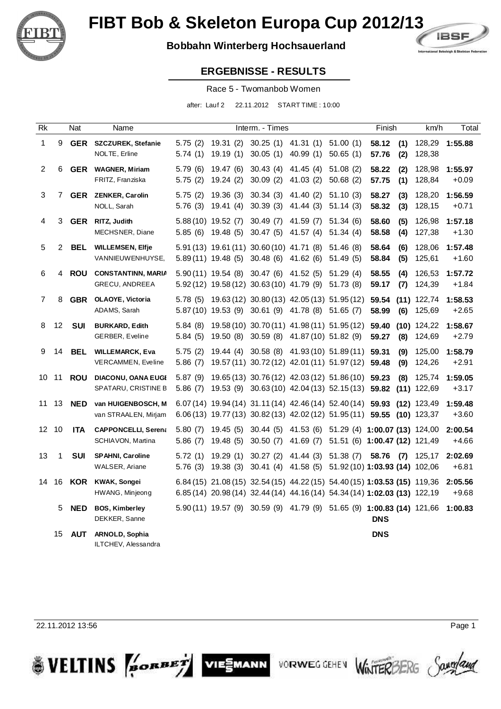

## **Bobbahn Winterberg Hochsauerland**



#### **ERGEBNISSE - RESULTS**

Race 5 - Twomanbob Women

after: Lauf 2 22.11.2012 START TIME : 10:00

| Rk             |    | Nat           | Name                                                |                     |                                                                   | Interm. - Times      |                                                                                                  |                                                                                                 | Finish                                                                                                                                                 | km/h                    | Total              |
|----------------|----|---------------|-----------------------------------------------------|---------------------|-------------------------------------------------------------------|----------------------|--------------------------------------------------------------------------------------------------|-------------------------------------------------------------------------------------------------|--------------------------------------------------------------------------------------------------------------------------------------------------------|-------------------------|--------------------|
| $\mathbf{1}$   | 9  | <b>GER</b>    | <b>SZCZUREK, Stefanie</b><br>NOLTE, Erline          | 5.75(2)<br>5.74(1)  | 19.31(2)<br>19.19(1)                                              | 30.05(1)             | $30.25(1)$ 41.31 (1)<br>40.99(1)                                                                 | 51.00(1)<br>50.65(1)                                                                            | 58.12<br>(1)<br>(2)<br>57.76                                                                                                                           | 128,29<br>128,38        | 1:55.88            |
| $\overline{2}$ | 6  |               | <b>GER</b> WAGNER, Miriam<br>FRITZ, Franziska       | 5.79(6)<br>5.75(2)  | 19.47(6)<br>19.24(2)                                              | 30.43(4)<br>30.09(2) | 41.45(4)<br>41.03(2)                                                                             | 51.08(2)<br>50.68(2)                                                                            | 58.22<br>(2)<br>57.75<br>(1)                                                                                                                           | 128,98<br>128,84        | 1:55.97<br>$+0.09$ |
| $\sqrt{3}$     |    |               | 7 GER ZENKER, Carolin<br>NOLL, Sarah                | 5.75(2)<br>5.76(3)  | 19.36(3)<br>19.41(4)                                              | 30.34(3)<br>30.39(3) | 41.40 (2)<br>41.44(3)                                                                            | 51.10(3)<br>51.14(3)                                                                            | 58.27<br>(3)<br>58.32<br>(3)                                                                                                                           | 128,20<br>128,15        | 1:56.59<br>$+0.71$ |
| 4              |    | 3 GER         | RITZ, Judith<br>MECHSNER, Diane                     |                     | 5.88 (10) 19.52 (7)<br>5.85 (6) 19.48 (5)                         | 30.49(7)<br>30.47(5) | 41.59 (7)<br>41.57(4)                                                                            | 51.34(6)<br>51.34(4)                                                                            | 58.60<br>(5)<br>58.58<br>(4)                                                                                                                           | 126,98<br>127,38        | 1:57.18<br>$+1.30$ |
| 5              | 2  | BEL           | <b>WILLEMSEN, Elfje</b><br>VANNIEUWENHUYSE,         |                     | 5.91 (13) 19.61 (11) 30.60 (10) 41.71 (8)<br>$5.89(11)$ 19.48 (5) | 30.48 (6) 41.62 (6)  |                                                                                                  | 51.46(8)<br>51.49(5)                                                                            | 58.64<br>(6)<br>58.84<br>(5)                                                                                                                           | 128,06<br>125,61        | 1:57.48<br>$+1.60$ |
| 6              |    | 4 ROU         | <b>CONSTANTINN, MARIA</b><br>GRECU, ANDREEA         |                     | $5.90(11)$ 19.54 (8)                                              | 30.47 (6) 41.52 (5)  | 5.92 (12) 19.58 (12) 30.63 (10) 41.79 (9) 51.73 (8)                                              | 51.29(4)                                                                                        | 58.55<br>(4)<br>59.17<br>(7)                                                                                                                           | 126,53<br>124,39        | 1:57.72<br>$+1.84$ |
| 7              | 8  | <b>GBR</b>    | <b>OLAOYE, Victoria</b><br>ADAMS, Sarah             | 5.78(5)             |                                                                   |                      | 19.63 (12) 30.80 (13) 42.05 (13) 51.95 (12)<br>5.87 (10) 19.53 (9) 30.61 (9) 41.78 (8) 51.65 (7) |                                                                                                 | 59.54<br>(6)<br>58.99                                                                                                                                  | $(11)$ 122,74<br>125,69 | 1:58.53<br>$+2.65$ |
| 8              | 12 | <b>SUI</b>    | <b>BURKARD, Edith</b><br>GERBER, Eveline            | 5.84(8)<br>5.84(5)  | 19.50 (8)                                                         |                      | 19.58 (10) 30.70 (11) 41.98 (11) 51.95 (12)<br>30.59 (8) 41.87 (10) 51.82 (9)                    |                                                                                                 | 59.40<br>59.27<br>(8)                                                                                                                                  | $(10)$ 124,22<br>124,69 | 1:58.67<br>$+2.79$ |
| 9              | 14 | <b>BEL</b>    | <b>WILLEMARCK, Eva</b><br><b>VERCAMMEN, Eveline</b> | 5.75(2)<br>5.86(7)  | 19.44 (4)                                                         |                      | 30.58 (8) 41.93 (10) 51.89 (11)<br>19.57 (11) 30.72 (12) 42.01 (11) 51.97 (12)                   |                                                                                                 | 59.31<br>(9)<br>(9)<br>59.48                                                                                                                           | 125,00<br>124,26        | 1:58.79<br>$+2.91$ |
| 10 11          |    | ROU           | <b>DIACONU, OANA EUGI</b><br>SPATARU, CRISTINE B    | 5.87(9)<br>5.86(7)  |                                                                   |                      |                                                                                                  | 19.65 (13) 30.76 (12) 42.03 (12) 51.86 (10)<br>19.53 (9) 30.63 (10) 42.04 (13) 52.15 (13) 59.82 | 59.23<br>(8)                                                                                                                                           | 125,74<br>$(11)$ 122,69 | 1:59.05<br>$+3.17$ |
| 11             |    | 13 <b>NED</b> | van HUIGENBOSCH, M<br>van STRAALEN, Mirjam          |                     |                                                                   |                      |                                                                                                  | $6.07(14)$ 19.94 (14) 31.11 (14) 42.46 (14) 52.40 (14)                                          | 59.93<br>6.06 (13) 19.77 (13) 30.82 (13) 42.02 (12) 51.95 (11) 59.55 (10) 123,37                                                                       | $(12)$ 123,49           | 1:59.48<br>$+3.60$ |
| 12 10          |    | <b>ITA</b>    | <b>CAPPONCELLI, Serena</b><br>SCHIAVON, Martina     | 5.80(7)<br>5.86(7)  | 19.45(5)<br>19.48(5)                                              | 30.44(5)<br>30.50(7) | 41.69 (7)                                                                                        |                                                                                                 | 41.53 (6) 51.29 (4) 1:00.07 (13) 124,00<br>51.51 (6) 1:00.47 (12) 121,49                                                                               |                         | 2:00.54<br>$+4.66$ |
| 13             | 1  | <b>SUI</b>    | <b>SPAHNI, Caroline</b><br>WALSER, Ariane           | 5.72(1)<br>5.76 (3) | 19.29(1)<br>19.38 (3)                                             | 30.27(2)             | 41.44 (3) 51.38 (7)                                                                              |                                                                                                 | 58.76<br>(7)<br>30.41 (4) 41.58 (5) 51.92 (10) 1:03.93 (14) 102,06                                                                                     | 125,17                  | 2:02.69<br>$+6.81$ |
| 14             | 16 | KOR           | <b>KWAK, Songei</b><br>HWANG, Minjeong              |                     |                                                                   |                      |                                                                                                  |                                                                                                 | 6.84 (15) 21.08 (15) 32.54 (15) 44.22 (15) 54.40 (15) 1:03.53 (15) 119,36<br>6.85 (14) 20.98 (14) 32.44 (14) 44.16 (14) 54.34 (14) 1:02.03 (13) 122,19 |                         | 2:05.56<br>$+9.68$ |
|                | 5  | <b>NED</b>    | <b>BOS, Kimberley</b><br>DEKKER, Sanne              |                     |                                                                   |                      |                                                                                                  |                                                                                                 | 5.90 (11) 19.57 (9) 30.59 (9) 41.79 (9) 51.65 (9) 1:00.83 (14) 121,66<br><b>DNS</b>                                                                    |                         | 1:00.83            |
|                | 15 | <b>AUT</b>    | <b>ARNOLD, Sophia</b><br>ILTCHEV, Alessandra        |                     |                                                                   |                      |                                                                                                  |                                                                                                 | <b>DNS</b>                                                                                                                                             |                         |                    |

VIESMANN

**VORWEG GEHEN** 

22.11.2012 13:56 Page 1

**SVELTINS** 



WINTERBERG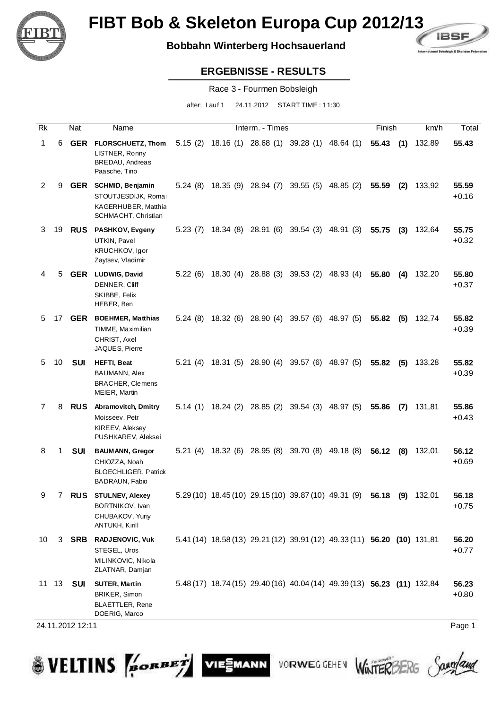

## **Bobbahn Winterberg Hochsauerland**



#### **ERGEBNISSE - RESULTS**

Race 3 - Fourmen Bobsleigh

after: Lauf 1 24.11.2012 START TIME : 11:30

| Rk             |    | Nat              | Name                                                                                            |         | Interm. - Times                                      |                                                                         | Finish   |     | km/h   | Total            |
|----------------|----|------------------|-------------------------------------------------------------------------------------------------|---------|------------------------------------------------------|-------------------------------------------------------------------------|----------|-----|--------|------------------|
| 1              | 6  | <b>GER</b>       | FLORSCHUETZ, Thom<br>LISTNER, Ronny<br><b>BREDAU, Andreas</b><br>Paasche, Tino                  |         |                                                      | 5.15 (2) 18.16 (1) 28.68 (1) 39.28 (1) 48.64 (1)                        | 55.43(1) |     | 132,89 | 55.43            |
| $\overline{c}$ | 9  |                  | GER SCHMID, Benjamin<br>STOUTJESDIJK, Romar<br>KAGERHUBER, Matthia<br>SCHMACHT, Christian       |         | 5.24 (8) 18.35 (9) 28.94 (7) 39.55 (5) 48.85 (2)     |                                                                         | 55.59    | (2) | 133,92 | 55.59<br>$+0.16$ |
| 3              | 19 | <b>RUS</b>       | <b>PASHKOV, Evgeny</b><br>UTKIN, Pavel<br>KRUCHKOV, Igor<br>Zaytsev, Vladimir                   |         | 5.23 (7) 18.34 (8) 28.91 (6) 39.54 (3) 48.91 (3)     |                                                                         | 55.75    | (3) | 132,64 | 55.75<br>$+0.32$ |
| 4              | 5  |                  | <b>GER</b> LUDWIG, David<br>DENNER, Cliff<br>SKIBBE, Felix<br>HEBER, Ben                        |         | 5.22 (6) 18.30 (4) 28.88 (3) 39.53 (2) 48.93 (4)     |                                                                         | 55.80    | (4) | 132,20 | 55.80<br>$+0.37$ |
| 5              | 17 | <b>GER</b>       | <b>BOEHMER, Matthias</b><br>TIMME, Maximilian<br>CHRIST, Axel<br>JAQUES, Pierre                 | 5.24(8) | 18.32 (6) 28.90 (4) 39.57 (6) 48.97 (5)              |                                                                         | 55.82    | (5) | 132,74 | 55.82<br>$+0.39$ |
| 5              | 10 | SUI              | <b>HEFTI, Beat</b><br>BAUMANN, Alex<br><b>BRACHER, Clemens</b><br>MEIER, Martin                 |         | 5.21 (4) 18.31 (5) 28.90 (4) 39.57 (6) 48.97 (5)     |                                                                         | 55.82    | (5) | 133,28 | 55.82<br>$+0.39$ |
| 7              | 8  | <b>RUS</b>       | Abramovitch, Dmitry<br>Moisseev, Petr<br>KIREEV, Aleksey<br>PUSHKAREV, Aleksei                  |         | 5.14 (1) 18.24 (2) 28.85 (2) 39.54 (3) 48.97 (5)     |                                                                         | 55.86    | (7) | 131,81 | 55.86<br>$+0.43$ |
| 8              | 1  | SUI              | <b>BAUMANN, Gregor</b><br>CHIOZZA, Noah<br><b>BLOECHLIGER, Patrick</b><br><b>BADRAUN, Fabio</b> |         | 5.21 (4) 18.32 (6) 28.95 (8) 39.70 (8) 49.18 (8)     |                                                                         | 56.12    | (8) | 132,01 | 56.12<br>$+0.69$ |
| 9              | 7  | <b>RUS</b>       | <b>STULNEV, Alexey</b><br>BORTNIKOV, Ivan<br>CHUBAKOV, Yuriy<br>ANTUKH, Kirill                  |         | 5.29 (10) 18.45 (10) 29.15 (10) 39.87 (10) 49.31 (9) |                                                                         | 56.18    | (9) | 132,01 | 56.18<br>$+0.75$ |
| 10             | 3  | SRB              | RADJENOVIC, Vuk<br>STEGEL, Uros<br>MILINKOVIC, Nikola<br>ZLATNAR, Damjan                        |         |                                                      | 5.41 (14) 18.58 (13) 29.21 (12) 39.91 (12) 49.33 (11) 56.20 (10) 131,81 |          |     |        | 56.20<br>$+0.77$ |
|                |    | 11 13 <b>SUI</b> | <b>SUTER, Martin</b><br>BRIKER, Simon<br>BLAETTLER, Rene<br>DOERIG, Marco                       |         |                                                      | 5.48 (17) 18.74 (15) 29.40 (16) 40.04 (14) 49.39 (13) 56.23 (11) 132,84 |          |     |        | 56.23<br>$+0.80$ |

VIESMANN

24.11.2012 12:11 Page 1

**SVELTINS** 

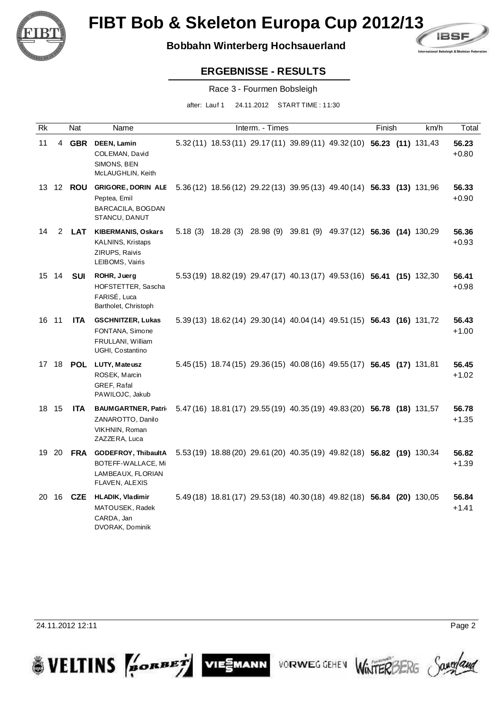

## **Bobbahn Winterberg Hochsauerland**



### **ERGEBNISSE - RESULTS**

Race 3 - Fourmen Bobsleigh

after: Lauf 1 24.11.2012 START TIME : 11:30

| Rk    |       | Nat              | Name                                                                                        |  | Interm. - Times |                                                                         | Finish | km/h | Total            |
|-------|-------|------------------|---------------------------------------------------------------------------------------------|--|-----------------|-------------------------------------------------------------------------|--------|------|------------------|
| 11    |       | 4 GBR            | DEEN, Lamin<br>COLEMAN, David<br>SIMONS, BEN<br>McLAUGHLIN, Keith                           |  |                 | 5.32 (11) 18.53 (11) 29.17 (11) 39.89 (11) 49.32 (10) 56.23 (11) 131,43 |        |      | 56.23<br>$+0.80$ |
|       |       | 13 12 <b>ROU</b> | <b>GRIGORE, DORIN ALE</b><br>Peptea, Emil<br>BARCACILA, BOGDAN<br>STANCU, DANUT             |  |                 | 5.36 (12) 18.56 (12) 29.22 (13) 39.95 (13) 49.40 (14) 56.33 (13) 131,96 |        |      | 56.33<br>$+0.90$ |
| 14    | 2     | <b>LAT</b>       | <b>KIBERMANIS, Oskars</b><br><b>KALNINS, Kristaps</b><br>ZIRUPS, Raivis<br>LEIBOMS, Vairis  |  |                 | 5.18 (3) 18.28 (3) 28.98 (9) 39.81 (9) 49.37 (12) 56.36 (14) 130,29     |        |      | 56.36<br>$+0.93$ |
|       | 15 14 | SUI              | ROHR, Juerg<br>HOFSTETTER, Sascha<br>FARISÉ, Luca<br>Bartholet, Christoph                   |  |                 | 5.53 (19) 18.82 (19) 29.47 (17) 40.13 (17) 49.53 (16) 56.41 (15) 132,30 |        |      | 56.41<br>$+0.98$ |
| 16 11 |       | <b>ITA</b>       | <b>GSCHNITZER, Lukas</b><br>FONTANA, Simone<br>FRULLANI, William<br>UGHI, Costantino        |  |                 | 5.39 (13) 18.62 (14) 29.30 (14) 40.04 (14) 49.51 (15) 56.43 (16) 131,72 |        |      | 56.43<br>$+1.00$ |
| 17 18 |       | POL              | LUTY, Mateusz<br>ROSEK, Marcin<br>GREF, Rafal<br>PAWILOJC, Jakub                            |  |                 | 5.45 (15) 18.74 (15) 29.36 (15) 40.08 (16) 49.55 (17) 56.45 (17) 131,81 |        |      | 56.45<br>$+1.02$ |
| 18 15 |       | <b>ITA</b>       | <b>BAUMGARTNER, Patric</b><br>ZANAROTTO, Danilo<br>VIKHNIN, Roman<br>ZAZZERA, Luca          |  |                 | 5.47 (16) 18.81 (17) 29.55 (19) 40.35 (19) 49.83 (20) 56.78 (18) 131,57 |        |      | 56.78<br>+1.35   |
| 19    | 20    |                  | FRA GODEFROY, ThibaultA<br>BOTEFF-WALLACE, Mi<br>LAMBEAUX, FLORIAN<br><b>FLAVEN, ALEXIS</b> |  |                 | 5.53 (19) 18.88 (20) 29.61 (20) 40.35 (19) 49.82 (18) 56.82 (19) 130,34 |        |      | 56.82<br>$+1.39$ |
| 20    | 16    | CZE              | <b>HLADIK, Vladimir</b><br>MATOUSEK, Radek<br>CARDA, Jan<br>DVORAK, Dominik                 |  |                 | 5.49 (18) 18.81 (17) 29.53 (18) 40.30 (18) 49.82 (18) 56.84 (20) 130,05 |        |      | 56.84<br>$+1.41$ |

24.11.2012 12:11 Page 2

**SVELTINS** 



VIESMANN

VORWEG GEHEV WINTERBERG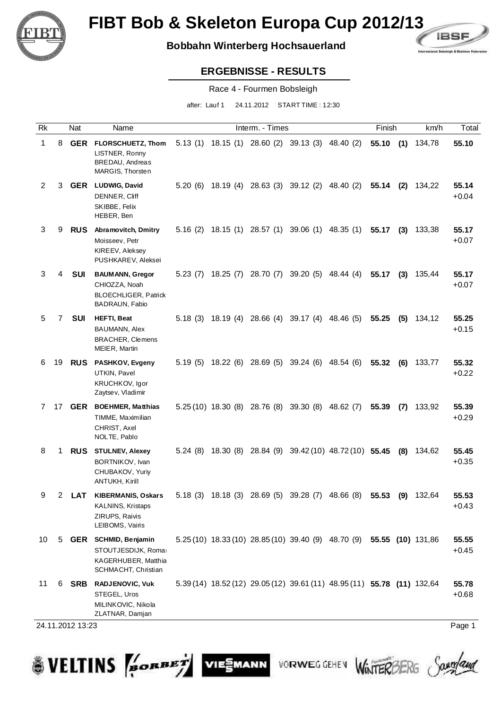

## **Bobbahn Winterberg Hochsauerland**



### **ERGEBNISSE - RESULTS**

Race 4 - Fourmen Bobsleigh

after: Lauf 1 24.11.2012 START TIME : 12:30

| Rk |    | Nat        | Name                                                                                             |          |          | Interm. - Times                                   |                                                                         | Finish   |     | km/h   | Total            |
|----|----|------------|--------------------------------------------------------------------------------------------------|----------|----------|---------------------------------------------------|-------------------------------------------------------------------------|----------|-----|--------|------------------|
| 1  | 8  | GER        | FLORSCHUETZ, Thom<br>LISTNER, Ronny<br><b>BREDAU, Andreas</b><br>MARGIS, Thorsten                |          |          | 5.13 (1) 18.15 (1) 28.60 (2) 39.13 (3) 48.40 (2)  |                                                                         | 55.10(1) |     | 134,78 | 55.10            |
| 2  | 3  | <b>GER</b> | <b>LUDWIG, David</b><br>DENNER, Cliff<br>SKIBBE, Felix<br>HEBER, Ben                             | 5.20 (6) |          | 18.19 (4) 28.63 (3) 39.12 (2) 48.40 (2)           |                                                                         | 55.14    | (2) | 134,22 | 55.14<br>$+0.04$ |
| 3  | 9  | <b>RUS</b> | <b>Abramovitch, Dmitry</b><br>Moisseev, Petr<br>KIREEV, Aleksey<br>PUSHKAREV, Aleksei            | 5.16(2)  |          | 18.15 (1) 28.57 (1) 39.06 (1) 48.35 (1)           |                                                                         | 55.17    | (3) | 133,38 | 55.17<br>$+0.07$ |
| 3  | 4  | <b>SUI</b> | <b>BAUMANN, Gregor</b><br>CHIOZZA, Noah<br><b>BLOECHLIGER, Patrick</b><br><b>BADRAUN, Fabio</b>  | 5.23 (7) | 18.25(7) | 28.70 (7) 39.20 (5) 48.44 (4)                     |                                                                         | 55.17    | (3) | 135,44 | 55.17<br>$+0.07$ |
| 5  | 7  | <b>SUI</b> | <b>HEFTI, Beat</b><br>BAUMANN, Alex<br><b>BRACHER, Clemens</b><br>MEIER, Martin                  | 5.18 (3) |          | 18.19 (4) 28.66 (4) 39.17 (4) 48.46 (5)           |                                                                         | 55.25    | (5) | 134,12 | 55.25<br>$+0.15$ |
| 6  | 19 | <b>RUS</b> | <b>PASHKOV, Evgeny</b><br>UTKIN, Pavel<br>KRUCHKOV, Igor<br>Zaytsev, Vladimir                    |          |          | 5.19 (5) 18.22 (6) 28.69 (5) 39.24 (6) 48.54 (6)  |                                                                         | 55.32    | (6) | 133,77 | 55.32<br>$+0.22$ |
| 7  | 17 | <b>GER</b> | <b>BOEHMER, Matthias</b><br>TIMME, Maximilian<br>CHRIST, Axel<br>NOLTE, Pablo                    |          |          | 5.25 (10) 18.30 (8) 28.76 (8) 39.30 (8) 48.62 (7) |                                                                         | 55.39    | (7) | 133,92 | 55.39<br>$+0.29$ |
| 8  | 1  | <b>RUS</b> | <b>STULNEV, Alexey</b><br>BORTNIKOV, Ivan<br>CHUBAKOV, Yuriy<br>ANTUKH, Kirill                   | 5.24(8)  | 18.30(8) |                                                   | 28.84 (9) 39.42 (10) 48.72 (10) 55.45                                   |          | (8) | 134,62 | 55.45<br>$+0.35$ |
| 9  | 2  | <b>LAT</b> | <b>KIBERMANIS, Oskars</b><br><b>KALNINS, Kristaps</b><br>ZIRUPS, Raivis<br>LEIBOMS, Vairis       | 5.18(3)  |          | 18.18 (3) 28.69 (5) 39.28 (7) 48.66 (8)           |                                                                         | 55.53    | (9) | 132.64 | 55.53<br>$+0.43$ |
| 10 | 5  |            | <b>GER</b> SCHMID, Benjamin<br>STOUTJESDIJK, Romar<br>KAGERHUBER, Matthia<br>SCHMACHT, Christian |          |          |                                                   | 5.25 (10) 18.33 (10) 28.85 (10) 39.40 (9) 48.70 (9) 55.55 (10) 131,86   |          |     |        | 55.55<br>$+0.45$ |
| 11 | 6  | SRB        | <b>RADJENOVIC, Vuk</b><br>STEGEL, Uros<br>MILINKOVIC, Nikola<br>ZLATNAR, Damjan                  |          |          |                                                   | 5.39 (14) 18.52 (12) 29.05 (12) 39.61 (11) 48.95 (11) 55.78 (11) 132,64 |          |     |        | 55.78<br>$+0.68$ |

VIESMANN

**VORWEG GEHEN** 

24.11.2012 13:23 Page 1